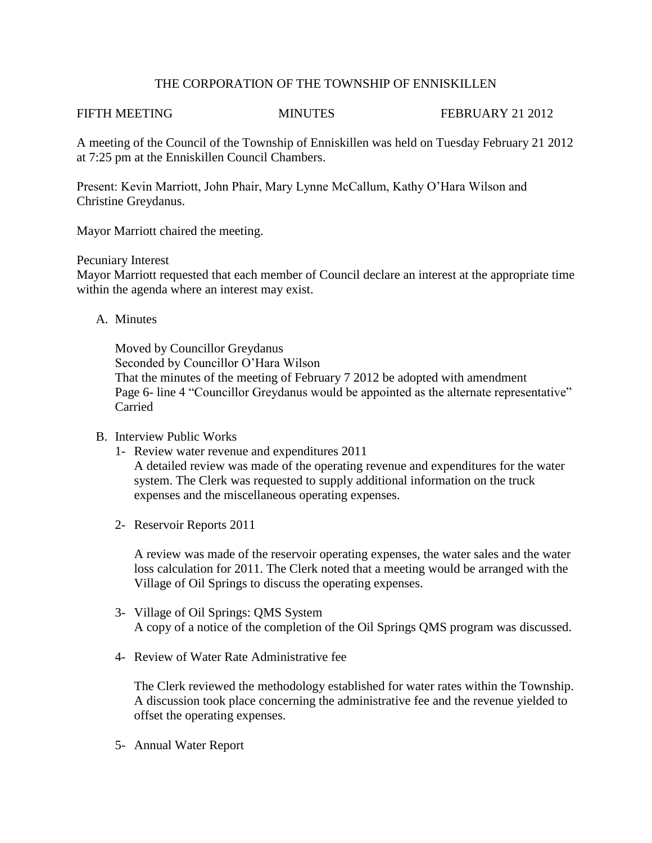## THE CORPORATION OF THE TOWNSHIP OF ENNISKILLEN

FIFTH MEETING MINUTES FEBRUARY 21 2012

A meeting of the Council of the Township of Enniskillen was held on Tuesday February 21 2012 at 7:25 pm at the Enniskillen Council Chambers.

Present: Kevin Marriott, John Phair, Mary Lynne McCallum, Kathy O'Hara Wilson and Christine Greydanus.

Mayor Marriott chaired the meeting.

### Pecuniary Interest

Mayor Marriott requested that each member of Council declare an interest at the appropriate time within the agenda where an interest may exist.

A. Minutes

Moved by Councillor Greydanus Seconded by Councillor O'Hara Wilson That the minutes of the meeting of February 7 2012 be adopted with amendment Page 6- line 4 "Councillor Greydanus would be appointed as the alternate representative" Carried

# B. Interview Public Works

- 1- Review water revenue and expenditures 2011 A detailed review was made of the operating revenue and expenditures for the water system. The Clerk was requested to supply additional information on the truck expenses and the miscellaneous operating expenses.
- 2- Reservoir Reports 2011

A review was made of the reservoir operating expenses, the water sales and the water loss calculation for 2011. The Clerk noted that a meeting would be arranged with the Village of Oil Springs to discuss the operating expenses.

- 3- Village of Oil Springs: QMS System A copy of a notice of the completion of the Oil Springs QMS program was discussed.
- 4- Review of Water Rate Administrative fee

The Clerk reviewed the methodology established for water rates within the Township. A discussion took place concerning the administrative fee and the revenue yielded to offset the operating expenses.

5- Annual Water Report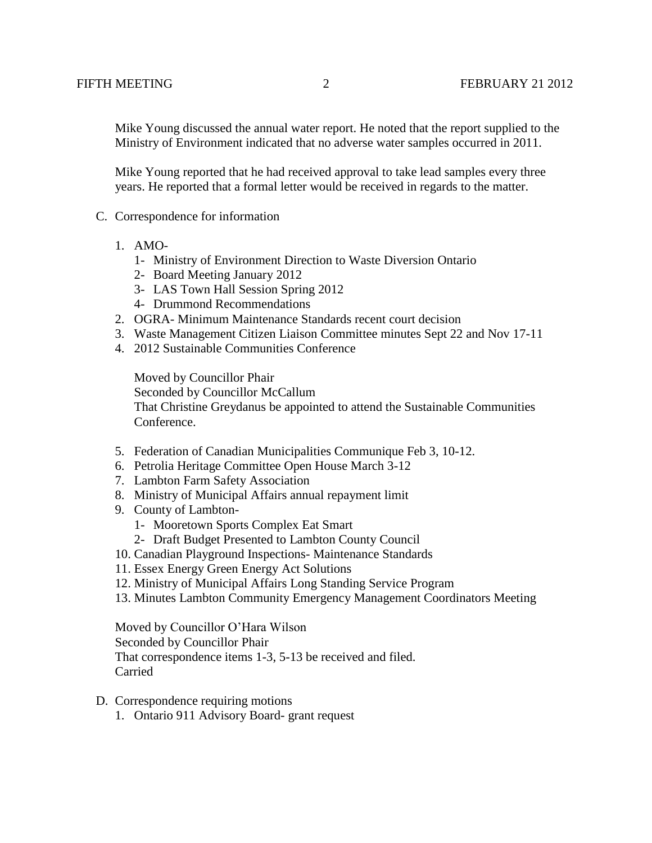Mike Young discussed the annual water report. He noted that the report supplied to the Ministry of Environment indicated that no adverse water samples occurred in 2011.

 Mike Young reported that he had received approval to take lead samples every three years. He reported that a formal letter would be received in regards to the matter.

- C. Correspondence for information
	- 1. AMO-
		- 1- Ministry of Environment Direction to Waste Diversion Ontario
		- 2- Board Meeting January 2012
		- 3- LAS Town Hall Session Spring 2012
		- 4- Drummond Recommendations
	- 2. OGRA- Minimum Maintenance Standards recent court decision
	- 3. Waste Management Citizen Liaison Committee minutes Sept 22 and Nov 17-11
	- 4. 2012 Sustainable Communities Conference

Moved by Councillor Phair Seconded by Councillor McCallum That Christine Greydanus be appointed to attend the Sustainable Communities Conference.

- 5. Federation of Canadian Municipalities Communique Feb 3, 10-12.
- 6. Petrolia Heritage Committee Open House March 3-12
- 7. Lambton Farm Safety Association
- 8. Ministry of Municipal Affairs annual repayment limit
- 9. County of Lambton-
	- 1- Mooretown Sports Complex Eat Smart
	- 2- Draft Budget Presented to Lambton County Council
- 10. Canadian Playground Inspections- Maintenance Standards
- 11. Essex Energy Green Energy Act Solutions
- 12. Ministry of Municipal Affairs Long Standing Service Program
- 13. Minutes Lambton Community Emergency Management Coordinators Meeting

Moved by Councillor O'Hara Wilson Seconded by Councillor Phair That correspondence items 1-3, 5-13 be received and filed. Carried

- D. Correspondence requiring motions
	- 1. Ontario 911 Advisory Board- grant request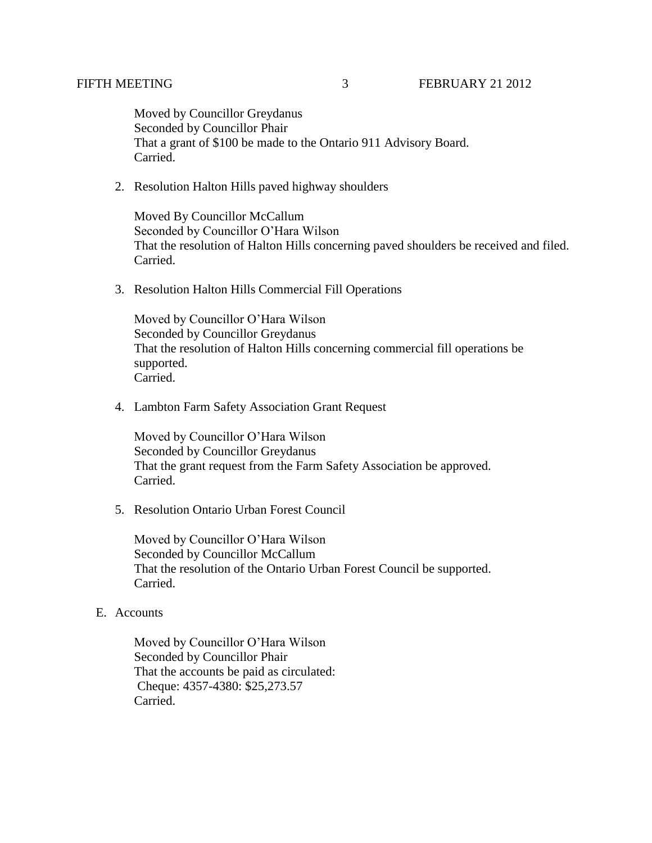Moved by Councillor Greydanus Seconded by Councillor Phair That a grant of \$100 be made to the Ontario 911 Advisory Board. Carried.

2. Resolution Halton Hills paved highway shoulders

Moved By Councillor McCallum Seconded by Councillor O'Hara Wilson That the resolution of Halton Hills concerning paved shoulders be received and filed. Carried.

3. Resolution Halton Hills Commercial Fill Operations

Moved by Councillor O'Hara Wilson Seconded by Councillor Greydanus That the resolution of Halton Hills concerning commercial fill operations be supported. Carried.

4. Lambton Farm Safety Association Grant Request

Moved by Councillor O'Hara Wilson Seconded by Councillor Greydanus That the grant request from the Farm Safety Association be approved. Carried.

5. Resolution Ontario Urban Forest Council

Moved by Councillor O'Hara Wilson Seconded by Councillor McCallum That the resolution of the Ontario Urban Forest Council be supported. Carried.

### E. Accounts

 Moved by Councillor O'Hara Wilson Seconded by Councillor Phair That the accounts be paid as circulated: Cheque: 4357-4380: \$25,273.57 Carried.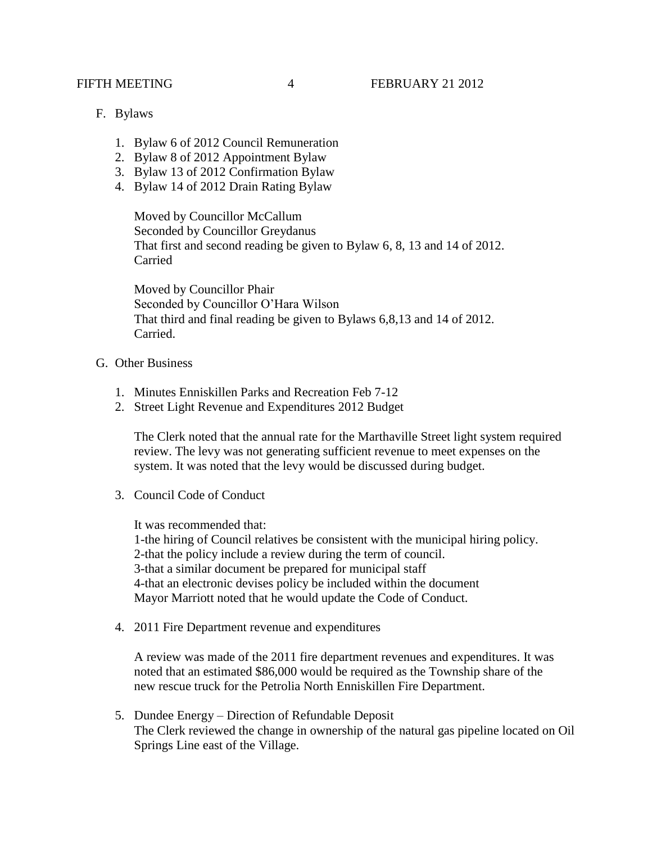- F. Bylaws
	- 1. Bylaw 6 of 2012 Council Remuneration
	- 2. Bylaw 8 of 2012 Appointment Bylaw
	- 3. Bylaw 13 of 2012 Confirmation Bylaw
	- 4. Bylaw 14 of 2012 Drain Rating Bylaw

Moved by Councillor McCallum Seconded by Councillor Greydanus That first and second reading be given to Bylaw 6, 8, 13 and 14 of 2012. Carried

Moved by Councillor Phair Seconded by Councillor O'Hara Wilson That third and final reading be given to Bylaws 6,8,13 and 14 of 2012. Carried.

- G. Other Business
	- 1. Minutes Enniskillen Parks and Recreation Feb 7-12
	- 2. Street Light Revenue and Expenditures 2012 Budget

The Clerk noted that the annual rate for the Marthaville Street light system required review. The levy was not generating sufficient revenue to meet expenses on the system. It was noted that the levy would be discussed during budget.

3. Council Code of Conduct

It was recommended that:

1-the hiring of Council relatives be consistent with the municipal hiring policy. 2-that the policy include a review during the term of council. 3-that a similar document be prepared for municipal staff 4-that an electronic devises policy be included within the document Mayor Marriott noted that he would update the Code of Conduct.

4. 2011 Fire Department revenue and expenditures

A review was made of the 2011 fire department revenues and expenditures. It was noted that an estimated \$86,000 would be required as the Township share of the new rescue truck for the Petrolia North Enniskillen Fire Department.

5. Dundee Energy – Direction of Refundable Deposit The Clerk reviewed the change in ownership of the natural gas pipeline located on Oil Springs Line east of the Village.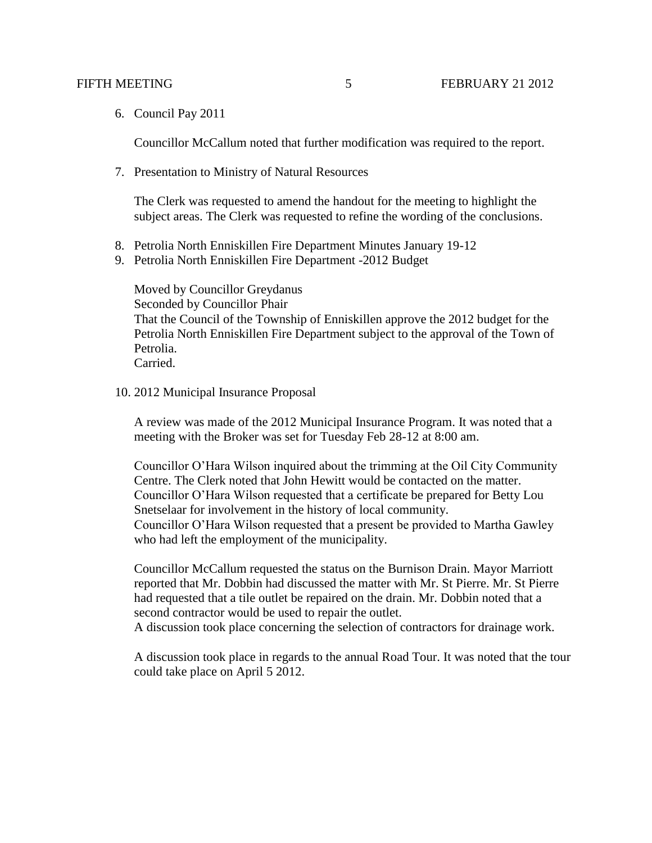6. Council Pay 2011

Councillor McCallum noted that further modification was required to the report.

7. Presentation to Ministry of Natural Resources

The Clerk was requested to amend the handout for the meeting to highlight the subject areas. The Clerk was requested to refine the wording of the conclusions.

- 8. Petrolia North Enniskillen Fire Department Minutes January 19-12
- 9. Petrolia North Enniskillen Fire Department -2012 Budget

Moved by Councillor Greydanus Seconded by Councillor Phair That the Council of the Township of Enniskillen approve the 2012 budget for the Petrolia North Enniskillen Fire Department subject to the approval of the Town of Petrolia. Carried.

10. 2012 Municipal Insurance Proposal

A review was made of the 2012 Municipal Insurance Program. It was noted that a meeting with the Broker was set for Tuesday Feb 28-12 at 8:00 am.

Councillor O'Hara Wilson inquired about the trimming at the Oil City Community Centre. The Clerk noted that John Hewitt would be contacted on the matter. Councillor O'Hara Wilson requested that a certificate be prepared for Betty Lou Snetselaar for involvement in the history of local community. Councillor O'Hara Wilson requested that a present be provided to Martha Gawley who had left the employment of the municipality.

Councillor McCallum requested the status on the Burnison Drain. Mayor Marriott reported that Mr. Dobbin had discussed the matter with Mr. St Pierre. Mr. St Pierre had requested that a tile outlet be repaired on the drain. Mr. Dobbin noted that a second contractor would be used to repair the outlet.

A discussion took place concerning the selection of contractors for drainage work.

A discussion took place in regards to the annual Road Tour. It was noted that the tour could take place on April 5 2012.